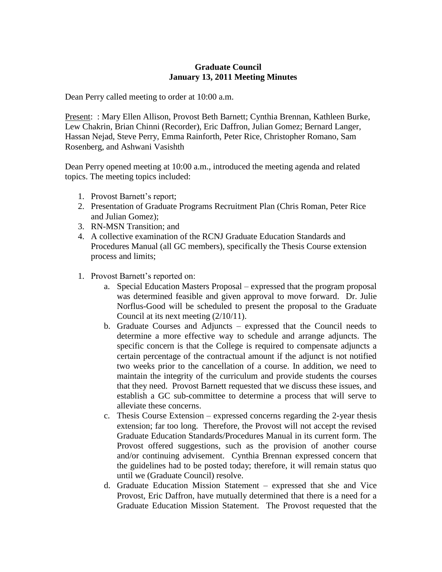## **Graduate Council January 13, 2011 Meeting Minutes**

Dean Perry called meeting to order at 10:00 a.m.

Present: : Mary Ellen Allison, Provost Beth Barnett; Cynthia Brennan, Kathleen Burke, Lew Chakrin, Brian Chinni (Recorder), Eric Daffron, Julian Gomez; Bernard Langer, Hassan Nejad, Steve Perry, Emma Rainforth, Peter Rice, Christopher Romano, Sam Rosenberg, and Ashwani Vasishth

Dean Perry opened meeting at 10:00 a.m., introduced the meeting agenda and related topics. The meeting topics included:

- 1. Provost Barnett's report;
- 2. Presentation of Graduate Programs Recruitment Plan (Chris Roman, Peter Rice and Julian Gomez);
- 3. RN-MSN Transition; and
- 4. A collective examination of the RCNJ Graduate Education Standards and Procedures Manual (all GC members), specifically the Thesis Course extension process and limits;
- 1. Provost Barnett's reported on:
	- a. Special Education Masters Proposal expressed that the program proposal was determined feasible and given approval to move forward. Dr. Julie Norflus-Good will be scheduled to present the proposal to the Graduate Council at its next meeting (2/10/11).
	- b. Graduate Courses and Adjuncts expressed that the Council needs to determine a more effective way to schedule and arrange adjuncts. The specific concern is that the College is required to compensate adjuncts a certain percentage of the contractual amount if the adjunct is not notified two weeks prior to the cancellation of a course. In addition, we need to maintain the integrity of the curriculum and provide students the courses that they need. Provost Barnett requested that we discuss these issues, and establish a GC sub-committee to determine a process that will serve to alleviate these concerns.
	- c. Thesis Course Extension expressed concerns regarding the 2-year thesis extension; far too long. Therefore, the Provost will not accept the revised Graduate Education Standards/Procedures Manual in its current form. The Provost offered suggestions, such as the provision of another course and/or continuing advisement. Cynthia Brennan expressed concern that the guidelines had to be posted today; therefore, it will remain status quo until we (Graduate Council) resolve.
	- d. Graduate Education Mission Statement expressed that she and Vice Provost, Eric Daffron, have mutually determined that there is a need for a Graduate Education Mission Statement. The Provost requested that the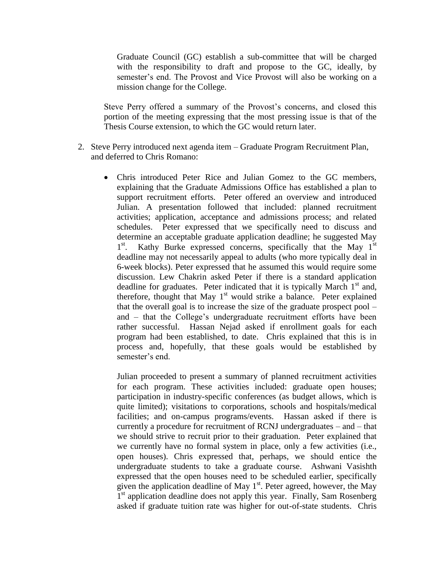Graduate Council (GC) establish a sub-committee that will be charged with the responsibility to draft and propose to the GC, ideally, by semester's end. The Provost and Vice Provost will also be working on a mission change for the College.

Steve Perry offered a summary of the Provost's concerns, and closed this portion of the meeting expressing that the most pressing issue is that of the Thesis Course extension, to which the GC would return later.

- 2. Steve Perry introduced next agenda item Graduate Program Recruitment Plan, and deferred to Chris Romano:
	- Chris introduced Peter Rice and Julian Gomez to the GC members, explaining that the Graduate Admissions Office has established a plan to support recruitment efforts. Peter offered an overview and introduced Julian. A presentation followed that included: planned recruitment activities; application, acceptance and admissions process; and related schedules. Peter expressed that we specifically need to discuss and determine an acceptable graduate application deadline; he suggested May  $1^{\rm st}$ . Kathy Burke expressed concerns, specifically that the May  $1<sup>st</sup>$ deadline may not necessarily appeal to adults (who more typically deal in 6-week blocks). Peter expressed that he assumed this would require some discussion. Lew Chakrin asked Peter if there is a standard application deadline for graduates. Peter indicated that it is typically March  $1<sup>st</sup>$  and, therefore, thought that May 1<sup>st</sup> would strike a balance. Peter explained that the overall goal is to increase the size of the graduate prospect pool – and – that the College's undergraduate recruitment efforts have been rather successful. Hassan Nejad asked if enrollment goals for each program had been established, to date. Chris explained that this is in process and, hopefully, that these goals would be established by semester's end.

Julian proceeded to present a summary of planned recruitment activities for each program. These activities included: graduate open houses; participation in industry-specific conferences (as budget allows, which is quite limited); visitations to corporations, schools and hospitals/medical facilities; and on-campus programs/events. Hassan asked if there is currently a procedure for recruitment of RCNJ undergraduates – and – that we should strive to recruit prior to their graduation. Peter explained that we currently have no formal system in place, only a few activities (i.e., open houses). Chris expressed that, perhaps, we should entice the undergraduate students to take a graduate course. Ashwani Vasishth expressed that the open houses need to be scheduled earlier, specifically given the application deadline of May  $1<sup>st</sup>$ . Peter agreed, however, the May I<sup>st</sup> application deadline does not apply this year. Finally, Sam Rosenberg asked if graduate tuition rate was higher for out-of-state students. Chris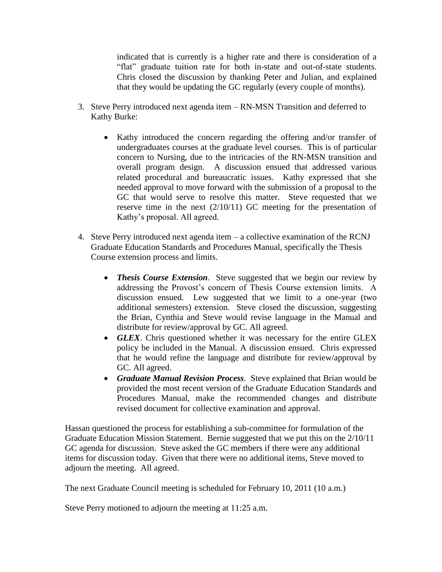indicated that is currently is a higher rate and there is consideration of a "flat" graduate tuition rate for both in-state and out-of-state students. Chris closed the discussion by thanking Peter and Julian, and explained that they would be updating the GC regularly (every couple of months).

- 3. Steve Perry introduced next agenda item RN-MSN Transition and deferred to Kathy Burke:
	- Kathy introduced the concern regarding the offering and/or transfer of undergraduates courses at the graduate level courses. This is of particular concern to Nursing, due to the intricacies of the RN-MSN transition and overall program design. A discussion ensued that addressed various related procedural and bureaucratic issues. Kathy expressed that she needed approval to move forward with the submission of a proposal to the GC that would serve to resolve this matter. Steve requested that we reserve time in the next (2/10/11) GC meeting for the presentation of Kathy's proposal. All agreed.
- 4. Steve Perry introduced next agenda item a collective examination of the RCNJ Graduate Education Standards and Procedures Manual, specifically the Thesis Course extension process and limits.
	- *Thesis Course Extension*. Steve suggested that we begin our review by addressing the Provost's concern of Thesis Course extension limits. A discussion ensued. Lew suggested that we limit to a one-year (two additional semesters) extension. Steve closed the discussion, suggesting the Brian, Cynthia and Steve would revise language in the Manual and distribute for review/approval by GC. All agreed.
	- *GLEX*. Chris questioned whether it was necessary for the entire GLEX policy be included in the Manual. A discussion ensued. Chris expressed that he would refine the language and distribute for review/approval by GC. All agreed.
	- *Graduate Manual Revision Process*. Steve explained that Brian would be provided the most recent version of the Graduate Education Standards and Procedures Manual, make the recommended changes and distribute revised document for collective examination and approval.

Hassan questioned the process for establishing a sub-committee for formulation of the Graduate Education Mission Statement. Bernie suggested that we put this on the 2/10/11 GC agenda for discussion. Steve asked the GC members if there were any additional items for discussion today. Given that there were no additional items, Steve moved to adjourn the meeting. All agreed.

The next Graduate Council meeting is scheduled for February 10, 2011 (10 a.m.)

Steve Perry motioned to adjourn the meeting at 11:25 a.m.